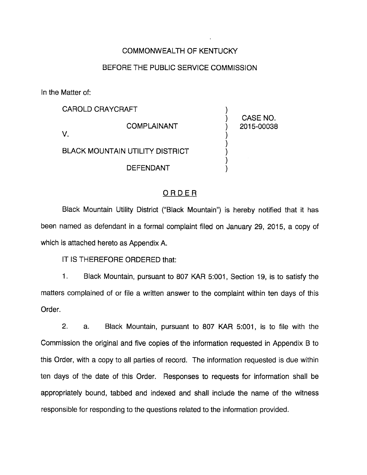### COMMONWEALTH OF KENTUCKY

### BEFORE THE PUBLIC SERVICE COMMISSION

In the Matter of:

CAROLD CRAYCRAFT **COMPLAINANT** V. BLACK MOUNTAIN UTILITY DISTRICT

DEFENDANT

CASE NO. 2015-00038

### ORDER

Black Mountain Utility District ("Black Mountain") is hereby notified that it has been named as defendant in a formal complaint filed on January 29, 2015, a copy of which is attached hereto as Appendix A.

IT IS THEREFORE ORDERED that:

1. Black Mountain, pursuant to 807 KAR 5:001, Section 19, Is to satisfy the matters complained of or file a written answer to the complaint within ten days of this Order.

2. a. Black Mountain, pursuant to 807 KAR 5:001, Is to file with the Commission the original and five copies of the information requested in Appendix B to this Order, with a copy to all parties of record. The information requested is due within ten days of the date of this Order. Responses to requests for Information shall be appropriately bound, tabbed and indexed and shall include the name of the witness responsible for responding to the questions related to the information provided.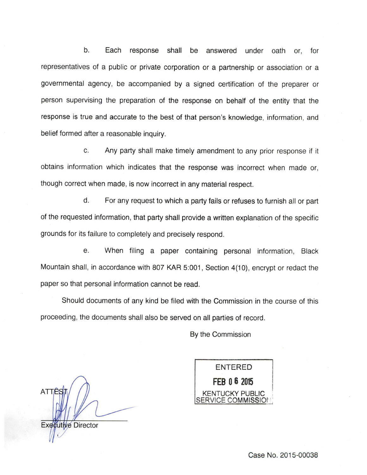b. Each response shall be answered under oath or, for representatives of a public or private corporation or a partnership or association or a governmental agency, be accompanied by a signed certification of the preparer or person supervising the preparation of the response on behalf of the entity that the response is true and accurate to the best of that person's knowledge, information, and belief formed after a reasonable inquiry.

c. Any party shall make timely amendment to any prior response if it obtains information which indicates that the response was incorrect when made or, though correct when made, is now incorrect in any material respect.

d. For any request to which a party falls or refuses to furnish all or part of the requested information, that party shall provide a written explanation of the specific grounds for its failure to completely and precisely respond.

e. When filing a paper containing personal information. Black Mountain shall, in accordance with 807 KAR 5:001, Section 4(10), encrypt or redact the paper so that personal information cannot be read.

Should documents of any kind be filed with the Commission in the course of this proceeding, the documents shall also be served on all parties of record.

By the Commission

**ATTF Executive Director** 

ENTERED FEB 0 6 2015 **FNTUCKY PUBLIC** /ICE COMMISSION

Case No. 2015-00038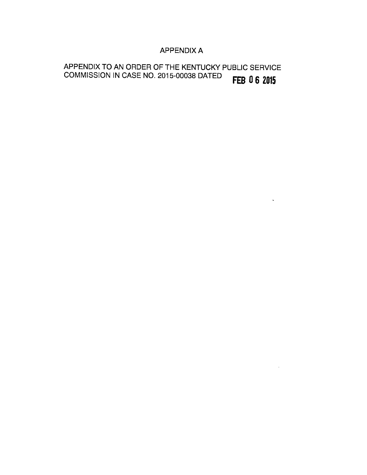### APPENDIX A

 $\sim 100$ 

 $\sim 10^7$ 

# APPENDIX TO AN ORDER OF THE KENTUCKY PUBLIC SERVICE COMMISSION IN CASE NO. 2015-00038 DATED **FEB 06 2015**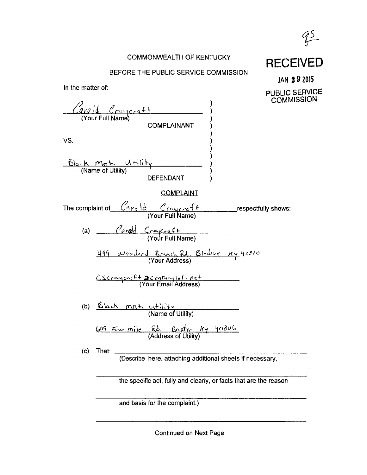

### COMMONWEALTH OF KENTUCKY

### BEFORE THE PUBLIC SERVICE COMMISSION

JAN 2 9 2015

**RECEIVED** 

In the matter of: 1<u>d</u> Craycraft (Your Full Name COMPLAINANT VS.  $\underline{\text{B}}\text{bc}$   $\text{M}$   $\underline{\text{m}}$   $\underline{\text{m}}$  (Name of Utility) DEFENDANT **COMPLAINT** PUBLIC SERVICE **COMMISSION** The complaint of (Your Full Name) jespectfully shows: (a) (Your Full Name) 499 Wooderd Branch Rd. Bledsoe Ky 40810  $Cscr$ ayco $.4+$  acxistury lel. net (Your Email Address) (b)  $\frac{\text{Black}}{\text{m}\pi+}$  (if it is (Name 01 Utility) 609 Four mile Rd. Baxtr Hy 40806 (c) That: (Describe here, attaching additional sheets if necessary, the specific act, fully and clearly, or facts that are the reason

and basis for the complaint.)

Continued on Next Page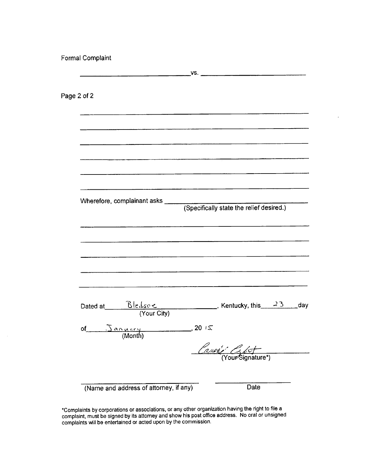Formal Complaint

|                                                                                                     | VS. $\qquad \qquad$                                                                                                  |
|-----------------------------------------------------------------------------------------------------|----------------------------------------------------------------------------------------------------------------------|
| Page 2 of 2                                                                                         |                                                                                                                      |
|                                                                                                     | <u> 1989 - Jan Barnett, fransk politik (d. 1989)</u>                                                                 |
|                                                                                                     | <u> 1989 - Januar Jacques III, president et al. (b. 1918).</u>                                                       |
|                                                                                                     |                                                                                                                      |
|                                                                                                     |                                                                                                                      |
|                                                                                                     |                                                                                                                      |
|                                                                                                     | <u> 1980 - Jan James James Barnett, martin amerikan besteht besteht als den besteht besteht aus dem Einstein bes</u> |
|                                                                                                     | <u> 1990 - Andrea Andrew Alexandria (h. 1950).</u>                                                                   |
| Dated at $\frac{\text{Ble} \cancel{4s} \circ \text{L}}{\text{(Your City)}}$ , Kentucky, this 23 day |                                                                                                                      |
| of $\frac{3a\wedge a\wedge y}{\text{(Month)}}$ , 20 15                                              |                                                                                                                      |
|                                                                                                     | Cause Glot                                                                                                           |
| (Name and address of attorney, if any)                                                              | Date                                                                                                                 |

 $\ddot{\phantom{0}}$ 

\*Complaints by corporations or associations, or any other organization having the right to file a complaint, must be signed by its attorney and show his post office address. No oral orunsigned complaints will be entertained or acted upon by the commission.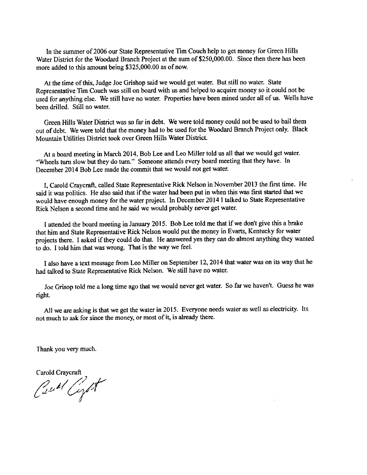In the summer of 2006 our State Representative Tim Couch help to get money for Green Hills Water District for the Woodard Branch Project at the sum of \$250,000.00. Since then there has been more added to this amount being \$325,000.00 as of now.

At the time of this, Judge Joe Grishop said we would get water. But still no water. State Representative Tim Couch was still on board with us and helped to acquire money so it could not be used for anything else. We still have no water. Properties have been mined under all of us. Wells have been drilled. Still no water.

Green Hills Water District was so far in debt. We were told money could not be used to bail them out of debt. We were told that the money had to be used for the Woodard Branch Project only. Black Mountain Utilities District took over Green Hills Water District

At a board meeting in March 2014, Bob Lee and Leo Miller told us all that we would get water. "Wheels turn slow but they do turn." Someone attends every board meeting that they have. In December 2014 Bob Lee made the Commit that we would not get water.

I, Carold Craycraft, called State Representative Rick Nelson in November 2013 the first time. He said it was politics. He also said that if the water had been put in when this was first started that we would have enough money for the water project. In December 2014 I talked to State Representative Rick Nelson a second time and he said we would probably never get water.

1attended the board meeting inJanuary 2015. Bob Lee told me that if we don't give this a brake that him and State Representative Rick Nelson would put the money in Evarts, Kentucky for water projects there. I asked if they could do that. He answered yes they can do almost anything they wanted to do. I told him that was wrong. That is the way we feel.

I also have a text message from Leo Miller on September 12, 2014 that water was on its way that he had talked to State Representative Rick Nelson. We still have no water.

Joe Grisop told me a long time ago that we would never getwater. Sofar we haven't. Guess he was right

All we are asking is that we get the water in 2015. Everyone needs water as well as electricity. Its not much to ask for since the money, or most of it, is already there.

Thank you very much.

Carold Craycraft<br>Castel Corport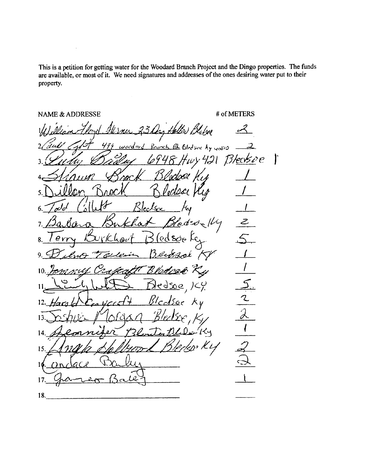This is a petition for getting water for the Woodard Branch Project and the Dingo properties. The funds are available, or most of it. We need signatures and addresses of the ones desiring water put to their property.

 $\ddot{\phantom{a}}$ 

NAME & ADDRESSE # of METERS Hellen Blatsve  $R$ ninch  $R$ bledsoutly yesses  $-2$ 421 Bleasee ľ 15 V ortock '  $200$ 4 Brock Bledear Ky 1 5. Rlectson 6. 7. /3a.£aed=delly  $\mathcal{Z}% _{M_{1},M_{2}}^{\alpha,\beta}(\varepsilon)$ мÌ Bledsøo Kez erry 8. av. 9. Delvo Tolein Bergar KV 1 'B lad  $10.7$ V.Е  $11, \underline{L^2...L}\underline{L}+L$ 12. Harold  $c_{\epsilon}$  yard  $\epsilon$  Bladsoc  $\kappa$ y  $\mathcal{\hat{A}}$ 13 14 15. 16  $17.$  Gauge Balling 18.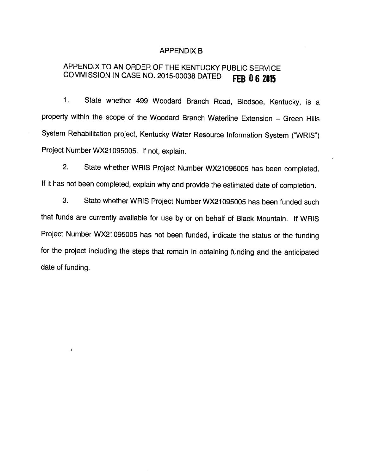#### APPENDIX B

## APPENDIX TO AN ORDER OF THE KENTUCKY PUBLIC SERVICE COMMISSION IN CASE NO. 2015-00038 DATED **FEB 06 2015**

1. State whether 499 Woodard Branch Road, Bledsoe, Kentucky, is a property within the scope of the Woodard Branch Waterline Extension - Green Hills System Rehabilitation project, Kentucky Water Resource Information System ("WRIS") Project Number WX21095005. If not, explain.

2. State whether WRIS Project Number WX21095005 has been completed. If it has not been completed, explain why and provide the estimated date of completion.

3. State whether WRIS Project Number WX21095005 has been funded such that funds are currently available for use by or on behalf of Black Mountain. If WRIS Project Number WX21095005 has not been funded, indicate the status of the funding for the project including the steps that remain in obtaining funding and the anticipated date of funding.

 $\mathbf{I}$